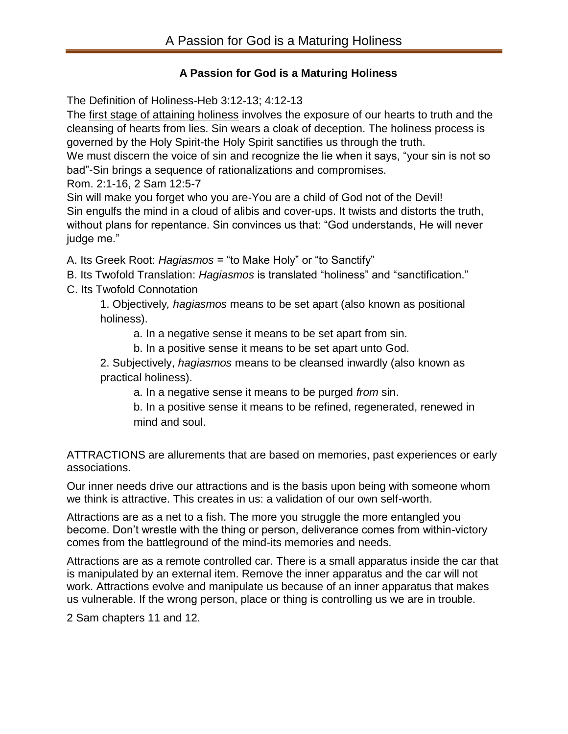# **A Passion for God is a Maturing Holiness**

The Definition of Holiness-Heb 3:12-13; 4:12-13

The first stage of attaining holiness involves the exposure of our hearts to truth and the cleansing of hearts from lies. Sin wears a cloak of deception. The holiness process is governed by the Holy Spirit-the Holy Spirit sanctifies us through the truth.

We must discern the voice of sin and recognize the lie when it says, "your sin is not so bad"-Sin brings a sequence of rationalizations and compromises.

Rom. 2:1-16, 2 Sam 12:5-7

Sin will make you forget who you are-You are a child of God not of the Devil! Sin engulfs the mind in a cloud of alibis and cover-ups. It twists and distorts the truth, without plans for repentance. Sin convinces us that: "God understands, He will never judge me."

A. Its Greek Root: *Hagiasmos* = "to Make Holy" or "to Sanctify"

B. Its Twofold Translation: *Hagiasmos* is translated "holiness" and "sanctification."

C. Its Twofold Connotation

1. Objectively*, hagiasmos* means to be set apart (also known as positional holiness).

a. In a negative sense it means to be set apart from sin.

b. In a positive sense it means to be set apart unto God.

2. Subjectively, *hagiasmos* means to be cleansed inwardly (also known as practical holiness).

a. In a negative sense it means to be purged *from* sin.

b. In a positive sense it means to be refined, regenerated, renewed in mind and soul.

ATTRACTIONS are allurements that are based on memories, past experiences or early associations.

Our inner needs drive our attractions and is the basis upon being with someone whom we think is attractive. This creates in us: a validation of our own self-worth.

Attractions are as a net to a fish. The more you struggle the more entangled you become. Don't wrestle with the thing or person, deliverance comes from within-victory comes from the battleground of the mind-its memories and needs.

Attractions are as a remote controlled car. There is a small apparatus inside the car that is manipulated by an external item. Remove the inner apparatus and the car will not work. Attractions evolve and manipulate us because of an inner apparatus that makes us vulnerable. If the wrong person, place or thing is controlling us we are in trouble.

2 Sam chapters 11 and 12.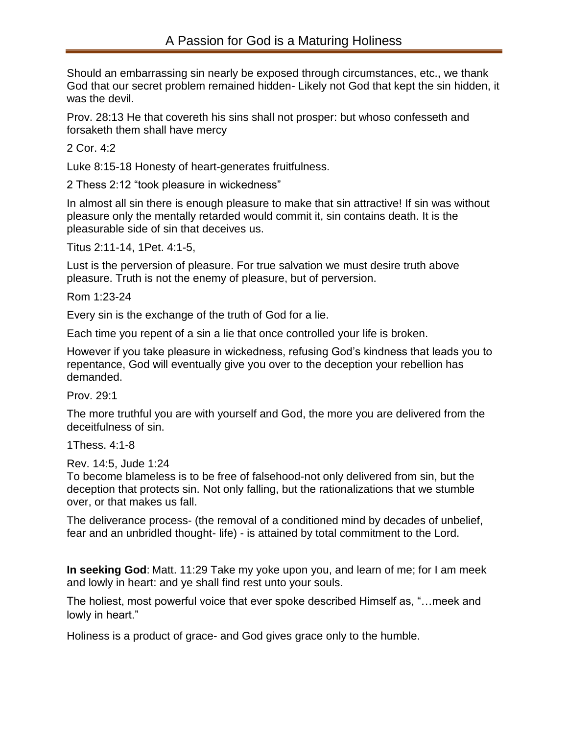Should an embarrassing sin nearly be exposed through circumstances, etc., we thank God that our secret problem remained hidden- Likely not God that kept the sin hidden, it was the devil.

Prov. 28:13 He that covereth his sins shall not prosper: but whoso confesseth and forsaketh them shall have mercy

2 Cor. 4:2

Luke 8:15-18 Honesty of heart-generates fruitfulness.

2 Thess 2:12 "took pleasure in wickedness"

In almost all sin there is enough pleasure to make that sin attractive! If sin was without pleasure only the mentally retarded would commit it, sin contains death. It is the pleasurable side of sin that deceives us.

Titus 2:11-14, 1Pet. 4:1-5,

Lust is the perversion of pleasure. For true salvation we must desire truth above pleasure. Truth is not the enemy of pleasure, but of perversion.

Rom 1:23-24

Every sin is the exchange of the truth of God for a lie.

Each time you repent of a sin a lie that once controlled your life is broken.

However if you take pleasure in wickedness, refusing God's kindness that leads you to repentance, God will eventually give you over to the deception your rebellion has demanded.

Prov. 29:1

The more truthful you are with yourself and God, the more you are delivered from the deceitfulness of sin.

1Thess. 4:1-8

Rev. 14:5, Jude 1:24

To become blameless is to be free of falsehood-not only delivered from sin, but the deception that protects sin. Not only falling, but the rationalizations that we stumble over, or that makes us fall.

The deliverance process- (the removal of a conditioned mind by decades of unbelief, fear and an unbridled thought- life) - is attained by total commitment to the Lord.

**In seeking God**: Matt. 11:29 Take my yoke upon you, and learn of me; for I am meek and lowly in heart: and ye shall find rest unto your souls.

The holiest, most powerful voice that ever spoke described Himself as, "…meek and lowly in heart."

Holiness is a product of grace- and God gives grace only to the humble.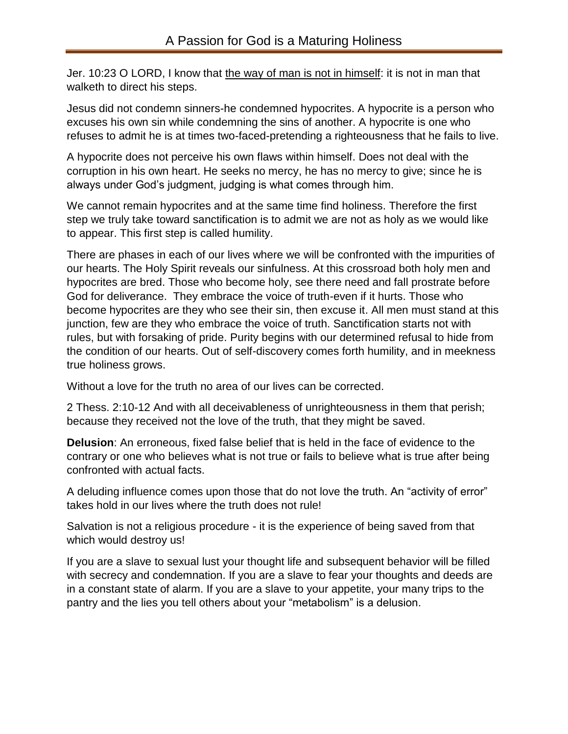Jer. 10:23 O LORD, I know that the way of man is not in himself: it is not in man that walketh to direct his steps.

Jesus did not condemn sinners-he condemned hypocrites. A hypocrite is a person who excuses his own sin while condemning the sins of another. A hypocrite is one who refuses to admit he is at times two-faced-pretending a righteousness that he fails to live.

A hypocrite does not perceive his own flaws within himself. Does not deal with the corruption in his own heart. He seeks no mercy, he has no mercy to give; since he is always under God's judgment, judging is what comes through him.

We cannot remain hypocrites and at the same time find holiness. Therefore the first step we truly take toward sanctification is to admit we are not as holy as we would like to appear. This first step is called humility.

There are phases in each of our lives where we will be confronted with the impurities of our hearts. The Holy Spirit reveals our sinfulness. At this crossroad both holy men and hypocrites are bred. Those who become holy, see there need and fall prostrate before God for deliverance. They embrace the voice of truth-even if it hurts. Those who become hypocrites are they who see their sin, then excuse it. All men must stand at this junction, few are they who embrace the voice of truth. Sanctification starts not with rules, but with forsaking of pride. Purity begins with our determined refusal to hide from the condition of our hearts. Out of self-discovery comes forth humility, and in meekness true holiness grows.

Without a love for the truth no area of our lives can be corrected.

2 Thess. 2:10-12 And with all deceivableness of unrighteousness in them that perish; because they received not the love of the truth, that they might be saved.

**Delusion**: An erroneous, fixed false belief that is held in the face of evidence to the contrary or one who believes what is not true or fails to believe what is true after being confronted with actual facts.

A deluding influence comes upon those that do not love the truth. An "activity of error" takes hold in our lives where the truth does not rule!

Salvation is not a religious procedure - it is the experience of being saved from that which would destroy us!

If you are a slave to sexual lust your thought life and subsequent behavior will be filled with secrecy and condemnation. If you are a slave to fear your thoughts and deeds are in a constant state of alarm. If you are a slave to your appetite, your many trips to the pantry and the lies you tell others about your "metabolism" is a delusion.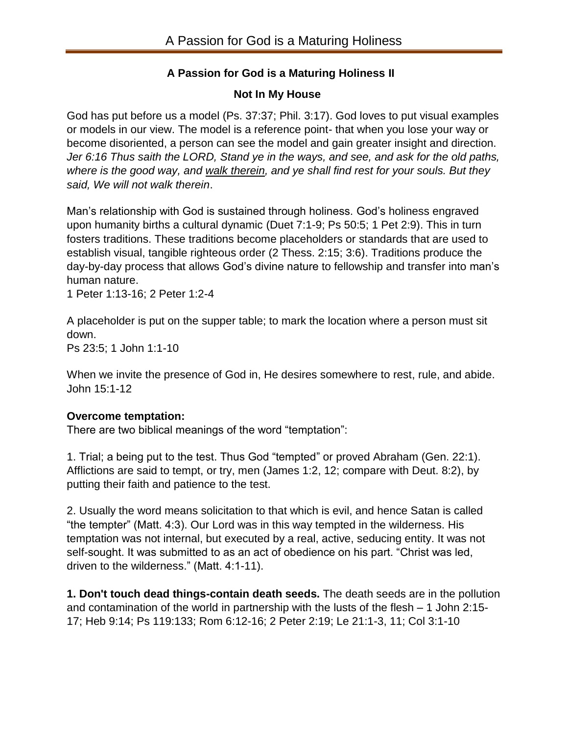# **A Passion for God is a Maturing Holiness II**

## **Not In My House**

God has put before us a model (Ps. 37:37; Phil. 3:17). God loves to put visual examples or models in our view. The model is a reference point- that when you lose your way or become disoriented, a person can see the model and gain greater insight and direction. *Jer 6:16 Thus saith the LORD, Stand ye in the ways, and see, and ask for the old paths, where is the good way, and walk therein, and ye shall find rest for your souls. But they said, We will not walk therein*.

Man's relationship with God is sustained through holiness. God's holiness engraved upon humanity births a cultural dynamic (Duet 7:1-9; Ps 50:5; 1 Pet 2:9). This in turn fosters traditions. These traditions become placeholders or standards that are used to establish visual, tangible righteous order (2 Thess. 2:15; 3:6). Traditions produce the day-by-day process that allows God's divine nature to fellowship and transfer into man's human nature.

1 Peter 1:13-16; 2 Peter 1:2-4

A placeholder is put on the supper table; to mark the location where a person must sit down.

Ps 23:5; 1 John 1:1-10

When we invite the presence of God in, He desires somewhere to rest, rule, and abide. John 15:1-12

## **Overcome temptation:**

There are two biblical meanings of the word "temptation":

1. Trial; a being put to the test. Thus God "tempted" or proved Abraham (Gen. 22:1). Afflictions are said to tempt, or try, men (James 1:2, 12; compare with Deut. 8:2), by putting their faith and patience to the test.

2. Usually the word means solicitation to that which is evil, and hence Satan is called "the tempter" (Matt. 4:3). Our Lord was in this way tempted in the wilderness. His temptation was not internal, but executed by a real, active, seducing entity. It was not self-sought. It was submitted to as an act of obedience on his part. "Christ was led, driven to the wilderness." (Matt. 4:1-11).

**1. Don't touch dead things-contain death seeds.** The death seeds are in the pollution and contamination of the world in partnership with the lusts of the flesh – 1 John 2:15- 17; Heb 9:14; Ps 119:133; Rom 6:12-16; 2 Peter 2:19; Le 21:1-3, 11; Col 3:1-10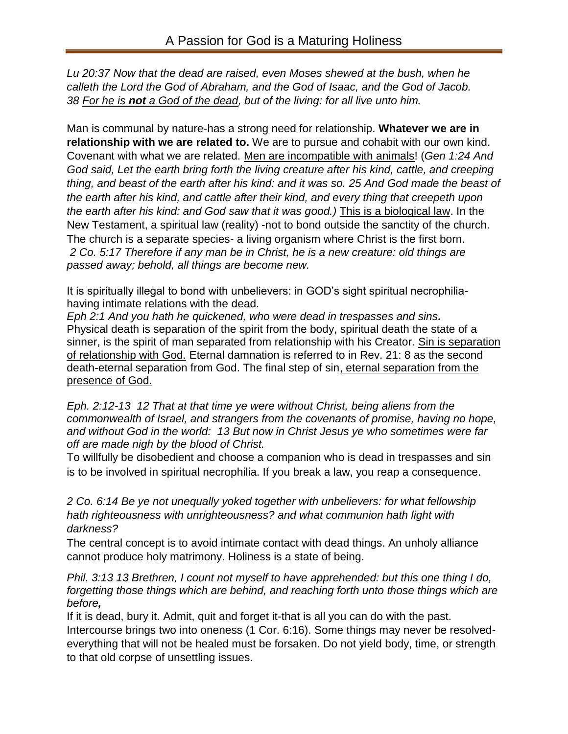*Lu 20:37 Now that the dead are raised, even Moses shewed at the bush, when he calleth the Lord the God of Abraham, and the God of Isaac, and the God of Jacob. 38 For he is not a God of the dead, but of the living: for all live unto him.*

Man is communal by nature-has a strong need for relationship. **Whatever we are in relationship with we are related to.** We are to pursue and cohabit with our own kind. Covenant with what we are related. Men are incompatible with animals! (*Gen 1:24 And God said, Let the earth bring forth the living creature after his kind, cattle, and creeping thing, and beast of the earth after his kind: and it was so. 25 And God made the beast of the earth after his kind, and cattle after their kind, and every thing that creepeth upon the earth after his kind: and God saw that it was good.)* This is a biological law. In the New Testament, a spiritual law (reality) -not to bond outside the sanctity of the church. The church is a separate species- a living organism where Christ is the first born. *2 Co. 5:17 Therefore if any man be in Christ, he is a new creature: old things are passed away; behold, all things are become new.*

It is spiritually illegal to bond with unbelievers: in GOD's sight spiritual necrophiliahaving intimate relations with the dead.

*Eph 2:1 And you hath he quickened, who were dead in trespasses and sins.* Physical death is separation of the spirit from the body, spiritual death the state of a sinner, is the spirit of man separated from relationship with his Creator. Sin is separation of relationship with God. Eternal damnation is referred to in Rev. 21: 8 as the second death-eternal separation from God. The final step of sin, eternal separation from the presence of God.

*Eph. 2:12-13 12 That at that time ye were without Christ, being aliens from the commonwealth of Israel, and strangers from the covenants of promise, having no hope, and without God in the world: 13 But now in Christ Jesus ye who sometimes were far off are made nigh by the blood of Christ.*

To willfully be disobedient and choose a companion who is dead in trespasses and sin is to be involved in spiritual necrophilia. If you break a law, you reap a consequence.

*2 Co. 6:14 Be ye not unequally yoked together with unbelievers: for what fellowship hath righteousness with unrighteousness? and what communion hath light with darkness?*

The central concept is to avoid intimate contact with dead things. An unholy alliance cannot produce holy matrimony. Holiness is a state of being.

*Phil. 3:13 13 Brethren, I count not myself to have apprehended: but this one thing I do, forgetting those things which are behind, and reaching forth unto those things which are before,*

If it is dead, bury it. Admit, quit and forget it-that is all you can do with the past. Intercourse brings two into oneness (1 Cor. 6:16). Some things may never be resolvedeverything that will not be healed must be forsaken. Do not yield body, time, or strength to that old corpse of unsettling issues.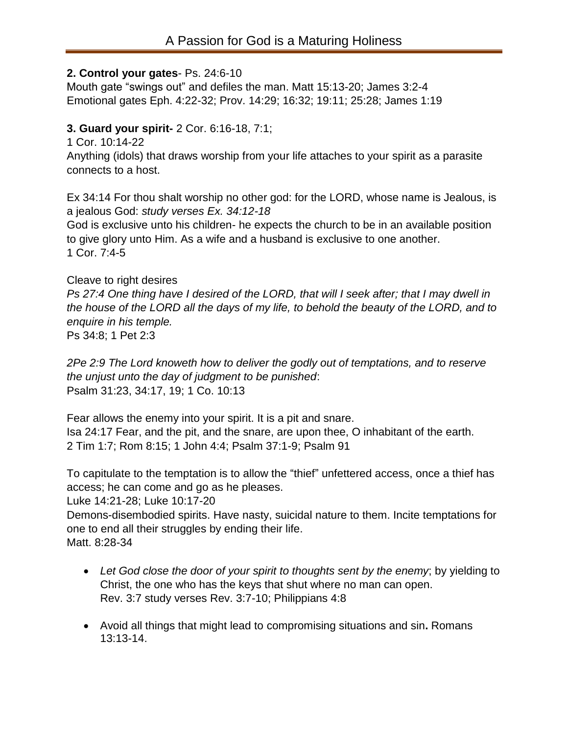#### **2. Control your gates**- Ps. 24:6-10

Mouth gate "swings out" and defiles the man. Matt 15:13-20; James 3:2-4 Emotional gates Eph. 4:22-32; Prov. 14:29; 16:32; 19:11; 25:28; James 1:19

### **3. Guard your spirit-** 2 Cor. 6:16-18, 7:1;

1 Cor. 10:14-22

Anything (idols) that draws worship from your life attaches to your spirit as a parasite connects to a host.

Ex 34:14 For thou shalt worship no other god: for the LORD, whose name is Jealous, is a jealous God: *study verses Ex. 34:12-18*

God is exclusive unto his children- he expects the church to be in an available position to give glory unto Him. As a wife and a husband is exclusive to one another. 1 Cor. 7:4-5

#### Cleave to right desires

*Ps 27:4 One thing have I desired of the LORD, that will I seek after; that I may dwell in the house of the LORD all the days of my life, to behold the beauty of the LORD, and to enquire in his temple.*

Ps 34:8; 1 Pet 2:3

*2Pe 2:9 The Lord knoweth how to deliver the godly out of temptations, and to reserve the unjust unto the day of judgment to be punished*: Psalm 31:23, 34:17, 19; 1 Co. 10:13

Fear allows the enemy into your spirit. It is a pit and snare. Isa 24:17 Fear, and the pit, and the snare, are upon thee, O inhabitant of the earth. 2 Tim 1:7; Rom 8:15; 1 John 4:4; Psalm 37:1-9; Psalm 91

To capitulate to the temptation is to allow the "thief" unfettered access, once a thief has access; he can come and go as he pleases.

Luke 14:21-28; Luke 10:17-20

Demons-disembodied spirits. Have nasty, suicidal nature to them. Incite temptations for one to end all their struggles by ending their life. Matt. 8:28-34

- *Let God close the door of your spirit to thoughts sent by the enemy*; by yielding to Christ, the one who has the keys that shut where no man can open. Rev. 3:7 study verses Rev. 3:7-10; Philippians 4:8
- Avoid all things that might lead to compromising situations and sin**.** Romans 13:13-14.